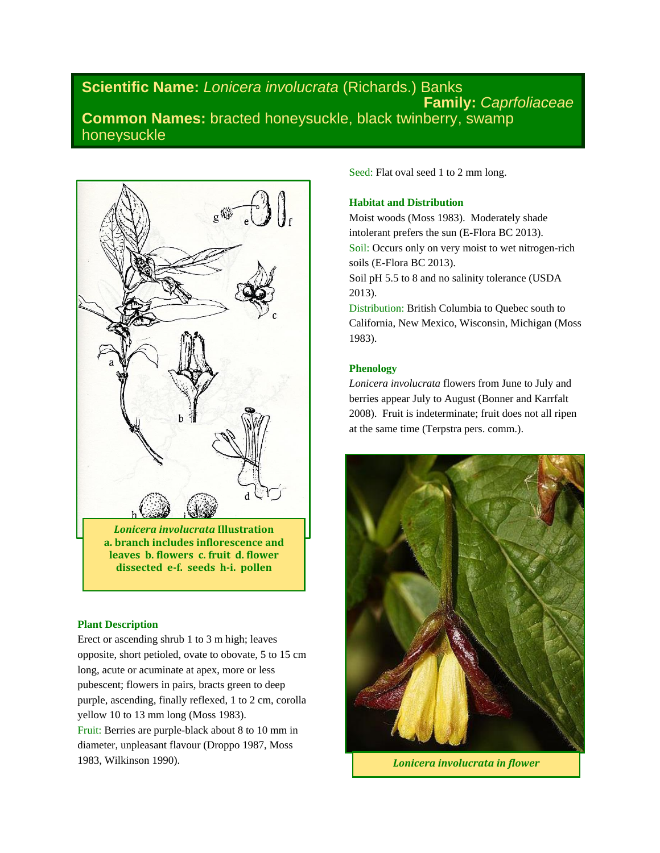# **Scientific Name:** *Lonicera involucrata* (Richards.) Banks **Family:** *Caprfoliaceae* **Common Names:** bracted honeysuckle, black twinberry, swamp honeysuckle



*Lonicera involucrata* **Illustration a. branch includes inflorescence and leaves b. flowers c. fruit d. flower dissected e-f. seeds h-i. pollen**

### **Plant Description**

Erect or ascending shrub 1 to 3 m high; leaves opposite, short petioled, ovate to obovate, 5 to 15 cm long, acute or acuminate at apex, more or less pubescent; flowers in pairs, bracts green to deep purple, ascending, finally reflexed, 1 to 2 cm, corolla yellow 10 to 13 mm long (Moss 1983). Fruit: Berries are purple-black about 8 to 10 mm in diameter, unpleasant flavour (Droppo 1987, Moss 1983, Wilkinson 1990).

Seed: Flat oval seed 1 to 2 mm long.

## **Habitat and Distribution**

Moist woods (Moss 1983). Moderately shade intolerant prefers the sun (E-Flora BC 2013). Soil: Occurs only on very moist to wet nitrogen-rich soils (E-Flora BC 2013). Soil pH 5.5 to 8 and no salinity tolerance (USDA 2013).

Distribution: British Columbia to Quebec south to California, New Mexico, Wisconsin, Michigan (Moss 1983).

## **Phenology**

*Lonicera involucrata* flowers from June to July and berries appear July to August (Bonner and Karrfalt 2008). Fruit is indeterminate; fruit does not all ripen at the same time (Terpstra pers. comm.).



*Lonicera involucrata in flower*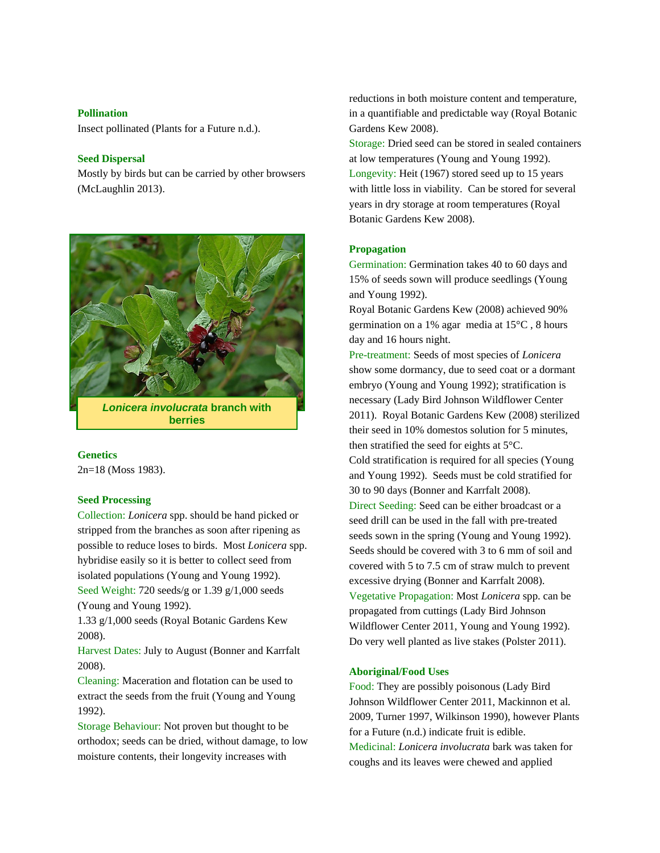#### **Pollination**

Insect pollinated (Plants for a Future n.d.).

# **Seed Dispersal**

Mostly by birds but can be carried by other browsers (McLaughlin 2013).



*Lonicera involucrata* **branch with berries**

#### **Genetics**

2n=18 (Moss 1983).

### **Seed Processing**

Collection: *Lonicera* spp. should be hand picked or stripped from the branches as soon after ripening as possible to reduce loses to birds. Most *Lonicera* spp. hybridise easily so it is better to collect seed from isolated populations (Young and Young 1992). Seed Weight: 720 seeds/g or 1.39 g/1,000 seeds (Young and Young 1992).

1.33 g/1,000 seeds (Royal Botanic Gardens Kew 2008).

Harvest Dates: July to August (Bonner and Karrfalt 2008).

Cleaning: Maceration and flotation can be used to extract the seeds from the fruit (Young and Young 1992).

Storage Behaviour: Not proven but thought to be orthodox; seeds can be dried, without damage, to low moisture contents, their longevity increases with

reductions in both moisture content and temperature, in a quantifiable and predictable way (Royal Botanic Gardens Kew 2008).

Storage: Dried seed can be stored in sealed containers at low temperatures (Young and Young 1992). Longevity: Heit (1967) stored seed up to 15 years with little loss in viability. Can be stored for several years in dry storage at room temperatures (Royal Botanic Gardens Kew 2008).

# **Propagation**

Germination: Germination takes 40 to 60 days and 15% of seeds sown will produce seedlings (Young and Young 1992).

Royal Botanic Gardens Kew (2008) achieved 90% germination on a 1% agar media at 15°C , 8 hours day and 16 hours night.

Pre-treatment: Seeds of most species of *Lonicera* show some dormancy, due to seed coat or a dormant embryo (Young and Young 1992); stratification is necessary (Lady Bird Johnson Wildflower Center 2011). Royal Botanic Gardens Kew (2008) sterilized their seed in 10% domestos solution for 5 minutes, then stratified the seed for eights at 5°C. Cold stratification is required for all species (Young and Young 1992). Seeds must be cold stratified for 30 to 90 days (Bonner and Karrfalt 2008). Direct Seeding: Seed can be either broadcast or a seed drill can be used in the fall with pre-treated seeds sown in the spring (Young and Young 1992). Seeds should be covered with 3 to 6 mm of soil and covered with 5 to 7.5 cm of straw mulch to prevent excessive drying (Bonner and Karrfalt 2008).

Vegetative Propagation: Most *Lonicera* spp. can be propagated from cuttings (Lady Bird Johnson Wildflower Center 2011, Young and Young 1992). Do very well planted as live stakes (Polster 2011).

## **Aboriginal/Food Uses**

Food: They are possibly poisonous (Lady Bird Johnson Wildflower Center 2011, Mackinnon et al*.* 2009, Turner 1997, Wilkinson 1990), however Plants for a Future (n.d.) indicate fruit is edible. Medicinal: *Lonicera involucrata* bark was taken for coughs and its leaves were chewed and applied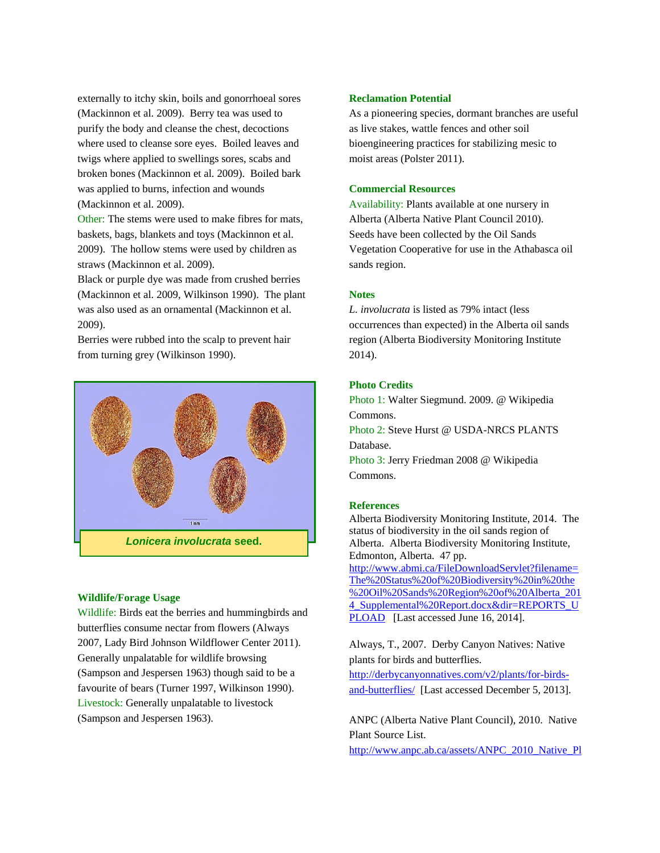externally to itchy skin, boils and gonorrhoeal sores (Mackinnon et al. 2009). Berry tea was used to purify the body and cleanse the chest, decoctions where used to cleanse sore eyes. Boiled leaves and twigs where applied to swellings sores, scabs and broken bones (Mackinnon et al. 2009). Boiled bark was applied to burns, infection and wounds (Mackinnon et al. 2009).

Other: The stems were used to make fibres for mats, baskets, bags, blankets and toys (Mackinnon et al. 2009). The hollow stems were used by children as straws (Mackinnon et al. 2009).

Black or purple dye was made from crushed berries (Mackinnon et al. 2009, Wilkinson 1990). The plant was also used as an ornamental (Mackinnon et al. 2009).

Berries were rubbed into the scalp to prevent hair from turning grey (Wilkinson 1990).



### **Wildlife/Forage Usage**

Wildlife: Birds eat the berries and hummingbirds and butterflies consume nectar from flowers (Always 2007, Lady Bird Johnson Wildflower Center 2011). Generally unpalatable for wildlife browsing (Sampson and Jespersen 1963) though said to be a favourite of bears (Turner 1997, Wilkinson 1990). Livestock: Generally unpalatable to livestock (Sampson and Jespersen 1963).

### **Reclamation Potential**

As a pioneering species, dormant branches are useful as live stakes, wattle fences and other soil bioengineering practices for stabilizing mesic to moist areas (Polster 2011).

# **Commercial Resources**

Availability: Plants available at one nursery in Alberta (Alberta Native Plant Council 2010). Seeds have been collected by the Oil Sands Vegetation Cooperative for use in the Athabasca oil sands region.

### **Notes**

*L. involucrata* is listed as 79% intact (less occurrences than expected) in the Alberta oil sands region (Alberta Biodiversity Monitoring Institute 2014).

# **Photo Credits**

Photo 1: Walter Siegmund. 2009. @ Wikipedia Commons. Photo 2: Steve Hurst @ USDA-NRCS PLANTS

Database. Photo 3: Jerry Friedman 2008 @ Wikipedia

Commons.

#### **References**

Alberta Biodiversity Monitoring Institute, 2014. The status of biodiversity in the oil sands region of Alberta. Alberta Biodiversity Monitoring Institute, Edmonton, Alberta. 47 pp. [http://www.abmi.ca/FileDownloadServlet?filename=](http://www.abmi.ca/FileDownloadServlet?filename=The%20Status%20of%20Biodiversity%20in%20the%20Oil%20Sands%20Region%20of%20Alberta_2014_Supplemental%20Report.docx&dir=REPORTS_UPLOAD) [The%20Status%20of%20Biodiversity%20in%20the](http://www.abmi.ca/FileDownloadServlet?filename=The%20Status%20of%20Biodiversity%20in%20the%20Oil%20Sands%20Region%20of%20Alberta_2014_Supplemental%20Report.docx&dir=REPORTS_UPLOAD) [%20Oil%20Sands%20Region%20of%20Alberta\\_201](http://www.abmi.ca/FileDownloadServlet?filename=The%20Status%20of%20Biodiversity%20in%20the%20Oil%20Sands%20Region%20of%20Alberta_2014_Supplemental%20Report.docx&dir=REPORTS_UPLOAD) [4\\_Supplemental%20Report.docx&dir=REPORTS\\_U](http://www.abmi.ca/FileDownloadServlet?filename=The%20Status%20of%20Biodiversity%20in%20the%20Oil%20Sands%20Region%20of%20Alberta_2014_Supplemental%20Report.docx&dir=REPORTS_UPLOAD) [PLOAD](http://www.abmi.ca/FileDownloadServlet?filename=The%20Status%20of%20Biodiversity%20in%20the%20Oil%20Sands%20Region%20of%20Alberta_2014_Supplemental%20Report.docx&dir=REPORTS_UPLOAD) [Last accessed June 16, 2014].

Always, T., 2007. Derby Canyon Natives: Native plants for birds and butterflies.

[http://derbycanyonnatives.com/v2/plants/for-birds](http://derbycanyonnatives.com/v2/plants/for-birds-and-butterflies/)[and-butterflies/](http://derbycanyonnatives.com/v2/plants/for-birds-and-butterflies/) [Last accessed December 5, 2013].

ANPC (Alberta Native Plant Council), 2010. Native Plant Source List.

[http://www.anpc.ab.ca/assets/ANPC\\_2010\\_Native\\_Pl](http://www.anpc.ab.ca/assets/ANPC_2010_Native_Plant_Source_List.pdf)